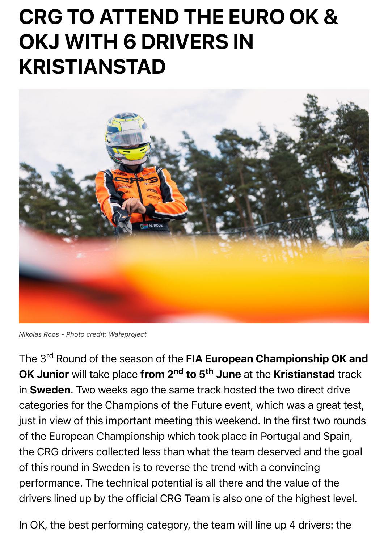

*Nikolas Roos - Photo credit: Wafeproject*

The 3<sup>rd</sup> Round of the season of the FIA European Championship O OK Junior will take place from 2<sup>nd</sup> to 5<sup>th</sup> June at the Kristianstad t in Sweden. Two weeks ago the same track hosted the two direct drive categories for the Champions of the Future event, which was a great just in view of this important meeting this weekend. In the first two rounds of the European Championship which took place in Portugal and Spa the CRG drivers collected less than what the team deserved and the of this round in Sweden is to reverse the trend with a convincing performance. The technical potential is all there and the value of the drivers lined up by the official CRG Team is also one of the highest le

In OK, the best performing category, the team will line up 4 drivers: t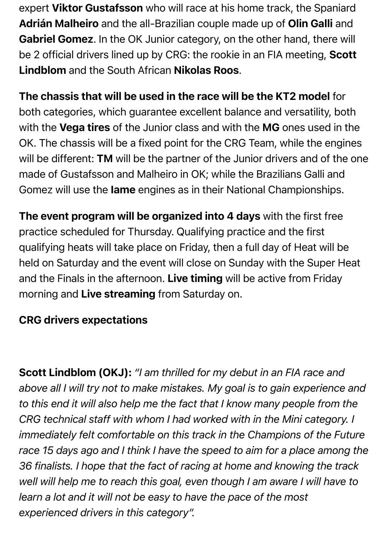expert Viktor Gustafsson who will race at his home track, the Spaniard Adrián Malheiro and the all-Brazilian couple made up of Olin Galli and Gabriel Gomez. In the OK Junior category, on the other hand, there will be 2 official drivers lined up by CRG: the rookie in an FIA meeting, Scott Lindblom and the South African Nikolas Roos.

The chassis that will be used in the race will be the KT2 model for both categories, which guarantee excellent balance and versatility, both with the Vega tires of the Junior class and with the MG ones used in the OK. The chassis will be a fixed point for the CRG Team, while the engines will be different: TM will be the partner of the Junior drivers and of the one made of Gustafsson and Malheiro in OK; while the Brazilians Galli and Gomez will use the Iame engines as in their National Championships.

The event program will be organized into 4 days with the first free practice scheduled for Thursday. Qualifying practice and the first qualifying heats will take place on Friday, then a full day of Heat will be held on Saturday and the event will close on Sunday with the Super Heat and the Finals in the afternoon. Live timing will be active from Friday morning and Live streaming from Saturday on.

## CRG drivers expectations

Scott Lindblom (OKJ): *"I am thrilled for my debut in an FIA race and above all I will try not to make mistakes. My goal is to gain experience and to this end it will also help me the fact that I know many people from the CRG technical staff with whom I had worked with in the Mini category. I immediately felt comfortable on this track in the Champions of the Future race 15 days ago and I think I have the speed to aim for a place among the 36 finalists. I hope that the fact of racing at home and knowing the track well will help me to reach this goal, even though I am aware I will have to learn a lot and it will not be easy to have the pace of the most experienced drivers in this category".*